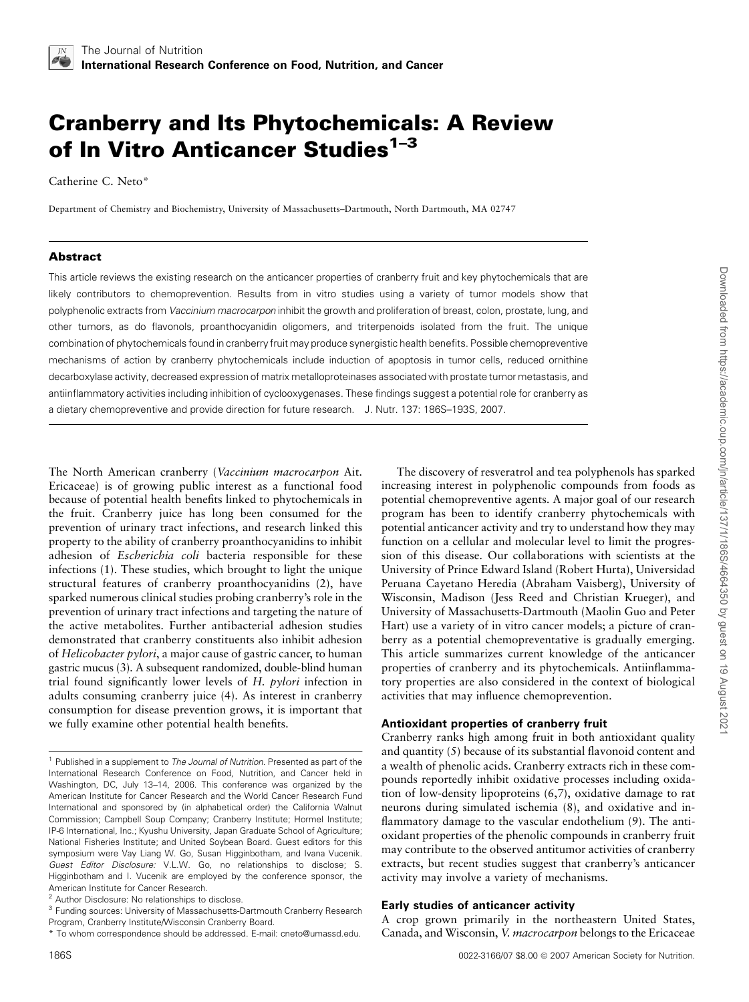

# Cranberry and Its Phytochemicals: A Review of In Vitro Anticancer Studies<sup>1-3</sup>

Catherine C. Neto\*

Department of Chemistry and Biochemistry, University of Massachusetts–Dartmouth, North Dartmouth, MA 02747

## Abstract

This article reviews the existing research on the anticancer properties of cranberry fruit and key phytochemicals that are likely contributors to chemoprevention. Results from in vitro studies using a variety of tumor models show that polyphenolic extracts from Vaccinium macrocarpon inhibit the growth and proliferation of breast, colon, prostate, lung, and other tumors, as do flavonols, proanthocyanidin oligomers, and triterpenoids isolated from the fruit. The unique combination of phytochemicals found in cranberry fruit may produce synergistic health benefits. Possible chemopreventive mechanisms of action by cranberry phytochemicals include induction of apoptosis in tumor cells, reduced ornithine decarboxylase activity, decreased expression of matrix metalloproteinases associated with prostate tumor metastasis, and antiinflammatory activities including inhibition of cyclooxygenases. These findings suggest a potential role for cranberry as a dietary chemopreventive and provide direction for future research. J. Nutr. 137: 186S–193S, 2007.

The North American cranberry (Vaccinium macrocarpon Ait. Ericaceae) is of growing public interest as a functional food because of potential health benefits linked to phytochemicals in the fruit. Cranberry juice has long been consumed for the prevention of urinary tract infections, and research linked this property to the ability of cranberry proanthocyanidins to inhibit adhesion of Escherichia coli bacteria responsible for these infections (1). These studies, which brought to light the unique structural features of cranberry proanthocyanidins (2), have sparked numerous clinical studies probing cranberry's role in the prevention of urinary tract infections and targeting the nature of the active metabolites. Further antibacterial adhesion studies demonstrated that cranberry constituents also inhibit adhesion of Helicobacter pylori, a major cause of gastric cancer, to human gastric mucus (3). A subsequent randomized, double-blind human trial found significantly lower levels of H. pylori infection in adults consuming cranberry juice (4). As interest in cranberry consumption for disease prevention grows, it is important that we fully examine other potential health benefits.

The discovery of resveratrol and tea polyphenols has sparked increasing interest in polyphenolic compounds from foods as potential chemopreventive agents. A major goal of our research program has been to identify cranberry phytochemicals with potential anticancer activity and try to understand how they may function on a cellular and molecular level to limit the progression of this disease. Our collaborations with scientists at the University of Prince Edward Island (Robert Hurta), Universidad Peruana Cayetano Heredia (Abraham Vaisberg), University of Wisconsin, Madison (Jess Reed and Christian Krueger), and University of Massachusetts-Dartmouth (Maolin Guo and Peter Hart) use a variety of in vitro cancer models; a picture of cranberry as a potential chemopreventative is gradually emerging. This article summarizes current knowledge of the anticancer properties of cranberry and its phytochemicals. Antiinflammatory properties are also considered in the context of biological activities that may influence chemoprevention.

## Antioxidant properties of cranberry fruit

Cranberry ranks high among fruit in both antioxidant quality and quantity (5) because of its substantial flavonoid content and a wealth of phenolic acids. Cranberry extracts rich in these compounds reportedly inhibit oxidative processes including oxidation of low-density lipoproteins (6,7), oxidative damage to rat neurons during simulated ischemia (8), and oxidative and inflammatory damage to the vascular endothelium (9). The antioxidant properties of the phenolic compounds in cranberry fruit may contribute to the observed antitumor activities of cranberry extracts, but recent studies suggest that cranberry's anticancer activity may involve a variety of mechanisms.

## Early studies of anticancer activity

A crop grown primarily in the northeastern United States, Canada, and Wisconsin, V. macrocarpon belongs to the Ericaceae

<sup>&</sup>lt;sup>1</sup> Published in a supplement to The Journal of Nutrition. Presented as part of the International Research Conference on Food, Nutrition, and Cancer held in Washington, DC, July 13–14, 2006. This conference was organized by the American Institute for Cancer Research and the World Cancer Research Fund International and sponsored by (in alphabetical order) the California Walnut Commission; Campbell Soup Company; Cranberry Institute; Hormel Institute; IP-6 International, Inc.; Kyushu University, Japan Graduate School of Agriculture; National Fisheries Institute; and United Soybean Board. Guest editors for this symposium were Vay Liang W. Go, Susan Higginbotham, and Ivana Vucenik. Guest Editor Disclosure: V.L.W. Go, no relationships to disclose; S. Higginbotham and I. Vucenik are employed by the conference sponsor, the American Institute for Cancer Research.

Author Disclosure: No relationships to disclose.

<sup>3</sup> Funding sources: University of Massachusetts-Dartmouth Cranberry Research

Program, Cranberry Institute/Wisconsin Cranberry Board.

<sup>\*</sup> To whom correspondence should be addressed. E-mail: cneto@umassd.edu.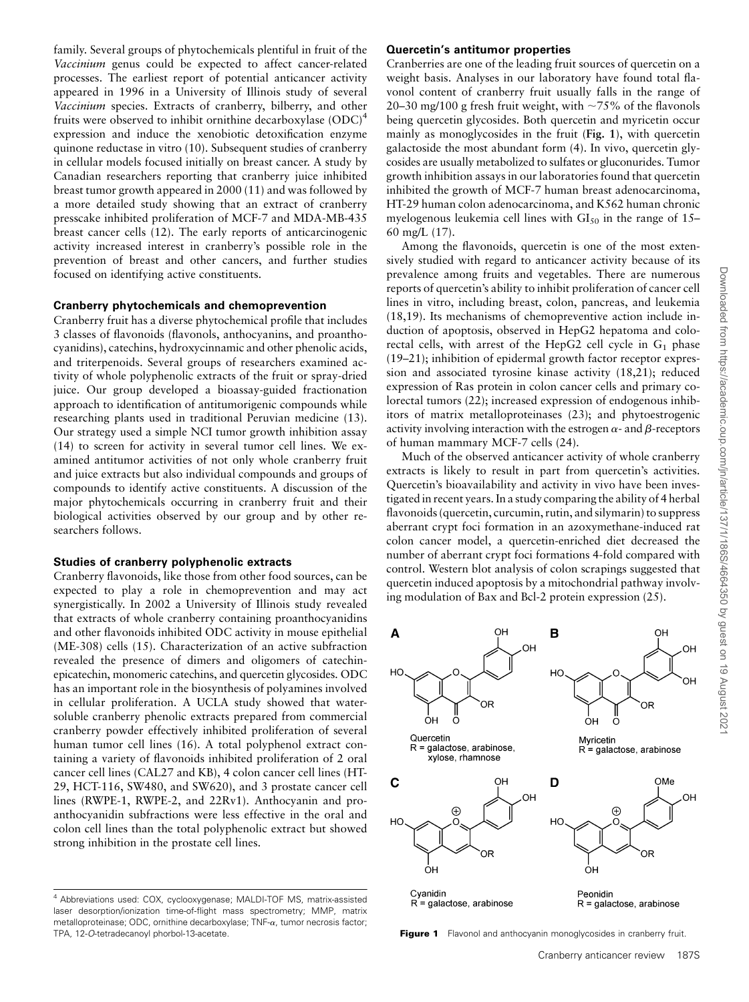family. Several groups of phytochemicals plentiful in fruit of the Vaccinium genus could be expected to affect cancer-related processes. The earliest report of potential anticancer activity appeared in 1996 in a University of Illinois study of several Vaccinium species. Extracts of cranberry, bilberry, and other fruits were observed to inhibit ornithine decarboxylase (ODC)<sup>4</sup> expression and induce the xenobiotic detoxification enzyme quinone reductase in vitro (10). Subsequent studies of cranberry in cellular models focused initially on breast cancer. A study by Canadian researchers reporting that cranberry juice inhibited breast tumor growth appeared in 2000 (11) and was followed by a more detailed study showing that an extract of cranberry presscake inhibited proliferation of MCF-7 and MDA-MB-435 breast cancer cells (12). The early reports of anticarcinogenic activity increased interest in cranberry's possible role in the prevention of breast and other cancers, and further studies focused on identifying active constituents.

#### Cranberry phytochemicals and chemoprevention

Cranberry fruit has a diverse phytochemical profile that includes 3 classes of flavonoids (flavonols, anthocyanins, and proanthocyanidins), catechins, hydroxycinnamic and other phenolic acids, and triterpenoids. Several groups of researchers examined activity of whole polyphenolic extracts of the fruit or spray-dried juice. Our group developed a bioassay-guided fractionation approach to identification of antitumorigenic compounds while researching plants used in traditional Peruvian medicine (13). Our strategy used a simple NCI tumor growth inhibition assay (14) to screen for activity in several tumor cell lines. We examined antitumor activities of not only whole cranberry fruit and juice extracts but also individual compounds and groups of compounds to identify active constituents. A discussion of the major phytochemicals occurring in cranberry fruit and their biological activities observed by our group and by other researchers follows.

#### Studies of cranberry polyphenolic extracts

Cranberry flavonoids, like those from other food sources, can be expected to play a role in chemoprevention and may act synergistically. In 2002 a University of Illinois study revealed that extracts of whole cranberry containing proanthocyanidins and other flavonoids inhibited ODC activity in mouse epithelial (ME-308) cells (15). Characterization of an active subfraction revealed the presence of dimers and oligomers of catechinepicatechin, monomeric catechins, and quercetin glycosides. ODC has an important role in the biosynthesis of polyamines involved in cellular proliferation. A UCLA study showed that watersoluble cranberry phenolic extracts prepared from commercial cranberry powder effectively inhibited proliferation of several human tumor cell lines (16). A total polyphenol extract containing a variety of flavonoids inhibited proliferation of 2 oral cancer cell lines (CAL27 and KB), 4 colon cancer cell lines (HT-29, HCT-116, SW480, and SW620), and 3 prostate cancer cell lines (RWPE-1, RWPE-2, and 22Rv1). Anthocyanin and proanthocyanidin subfractions were less effective in the oral and colon cell lines than the total polyphenolic extract but showed strong inhibition in the prostate cell lines.

## Quercetin's antitumor properties

Cranberries are one of the leading fruit sources of quercetin on a weight basis. Analyses in our laboratory have found total flavonol content of cranberry fruit usually falls in the range of 20–30 mg/100 g fresh fruit weight, with  $\sim$ 75% of the flavonols being quercetin glycosides. Both quercetin and myricetin occur mainly as monoglycosides in the fruit (Fig. 1), with quercetin galactoside the most abundant form (4). In vivo, quercetin glycosides are usually metabolized to sulfates or gluconurides. Tumor growth inhibition assays in our laboratories found that quercetin inhibited the growth of MCF-7 human breast adenocarcinoma, HT-29 human colon adenocarcinoma, and K562 human chronic myelogenous leukemia cell lines with  $GI<sub>50</sub>$  in the range of 15– 60 mg/L (17).

Among the flavonoids, quercetin is one of the most extensively studied with regard to anticancer activity because of its prevalence among fruits and vegetables. There are numerous reports of quercetin's ability to inhibit proliferation of cancer cell lines in vitro, including breast, colon, pancreas, and leukemia (18,19). Its mechanisms of chemopreventive action include induction of apoptosis, observed in HepG2 hepatoma and colorectal cells, with arrest of the HepG2 cell cycle in  $G_1$  phase (19–21); inhibition of epidermal growth factor receptor expression and associated tyrosine kinase activity (18,21); reduced expression of Ras protein in colon cancer cells and primary colorectal tumors (22); increased expression of endogenous inhibitors of matrix metalloproteinases (23); and phytoestrogenic activity involving interaction with the estrogen  $\alpha$ - and  $\beta$ -receptors of human mammary MCF-7 cells (24).

Much of the observed anticancer activity of whole cranberry extracts is likely to result in part from quercetin's activities. Quercetin's bioavailability and activity in vivo have been investigated in recent years. In a study comparing the ability of 4 herbal flavonoids (quercetin, curcumin, rutin, and silymarin) to suppress aberrant crypt foci formation in an azoxymethane-induced rat colon cancer model, a quercetin-enriched diet decreased the number of aberrant crypt foci formations 4-fold compared with control. Western blot analysis of colon scrapings suggested that quercetin induced apoptosis by a mitochondrial pathway involving modulation of Bax and Bcl-2 protein expression (25).



<sup>4</sup> Abbreviations used: COX, cyclooxygenase; MALDI-TOF MS, matrix-assisted laser desorption/ionization time-of-flight mass spectrometry; MMP, matrix metalloproteinase; ODC, ornithine decarboxylase;  $TNF-\alpha$ , tumor necrosis factor; TPA, 12-O-tetradecanoyl phorbol-13-acetate. Figure 1 Flavonol and anthocyanin monoglycosides in cranberry fruit.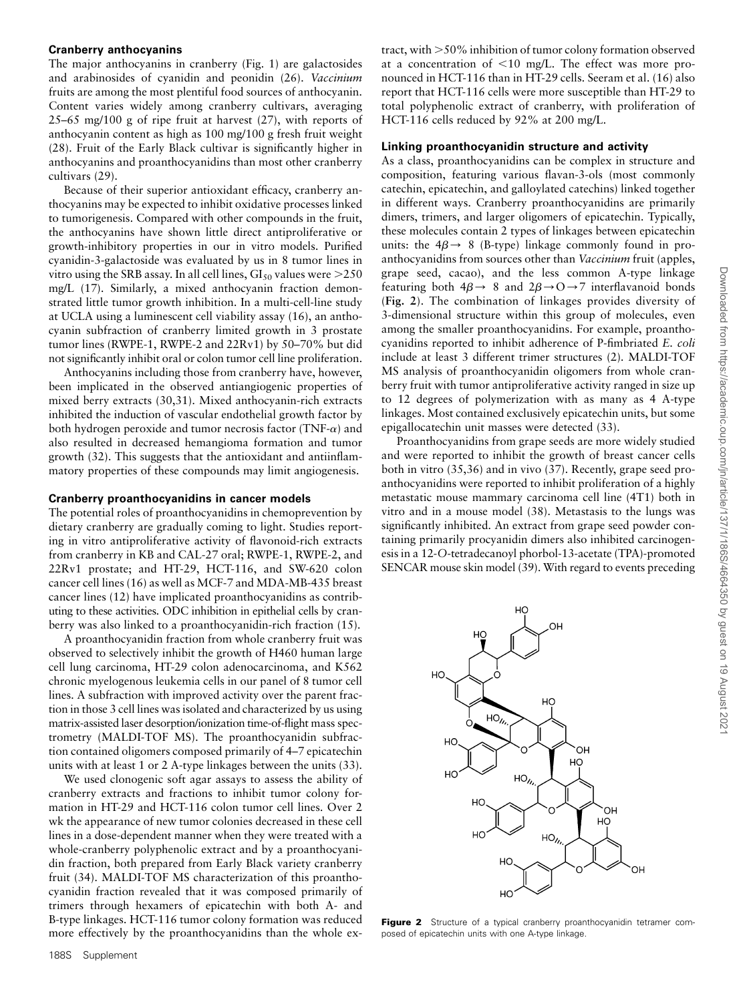#### Cranberry anthocyanins

The major anthocyanins in cranberry (Fig. 1) are galactosides and arabinosides of cyanidin and peonidin (26). Vaccinium fruits are among the most plentiful food sources of anthocyanin. Content varies widely among cranberry cultivars, averaging 25–65 mg/100 g of ripe fruit at harvest (27), with reports of anthocyanin content as high as 100 mg/100 g fresh fruit weight (28). Fruit of the Early Black cultivar is significantly higher in anthocyanins and proanthocyanidins than most other cranberry cultivars (29).

Because of their superior antioxidant efficacy, cranberry anthocyanins may be expected to inhibit oxidative processes linked to tumorigenesis. Compared with other compounds in the fruit, the anthocyanins have shown little direct antiproliferative or growth-inhibitory properties in our in vitro models. Purified cyanidin-3-galactoside was evaluated by us in 8 tumor lines in vitro using the SRB assay. In all cell lines,  $GI_{50}$  values were  $>250$ mg/L (17). Similarly, a mixed anthocyanin fraction demonstrated little tumor growth inhibition. In a multi-cell-line study at UCLA using a luminescent cell viability assay (16), an anthocyanin subfraction of cranberry limited growth in 3 prostate tumor lines (RWPE-1, RWPE-2 and 22Rv1) by 50–70% but did not significantly inhibit oral or colon tumor cell line proliferation.

Anthocyanins including those from cranberry have, however, been implicated in the observed antiangiogenic properties of mixed berry extracts (30,31). Mixed anthocyanin-rich extracts inhibited the induction of vascular endothelial growth factor by both hydrogen peroxide and tumor necrosis factor (TNF- $\alpha$ ) and also resulted in decreased hemangioma formation and tumor growth (32). This suggests that the antioxidant and antiinflammatory properties of these compounds may limit angiogenesis.

#### Cranberry proanthocyanidins in cancer models

The potential roles of proanthocyanidins in chemoprevention by dietary cranberry are gradually coming to light. Studies reporting in vitro antiproliferative activity of flavonoid-rich extracts from cranberry in KB and CAL-27 oral; RWPE-1, RWPE-2, and 22Rv1 prostate; and HT-29, HCT-116, and SW-620 colon cancer cell lines (16) as well as MCF-7 and MDA-MB-435 breast cancer lines (12) have implicated proanthocyanidins as contributing to these activities. ODC inhibition in epithelial cells by cranberry was also linked to a proanthocyanidin-rich fraction (15).

A proanthocyanidin fraction from whole cranberry fruit was observed to selectively inhibit the growth of H460 human large cell lung carcinoma, HT-29 colon adenocarcinoma, and K562 chronic myelogenous leukemia cells in our panel of 8 tumor cell lines. A subfraction with improved activity over the parent fraction in those 3 cell lines was isolated and characterized by us using matrix-assisted laser desorption/ionization time-of-flight mass spectrometry (MALDI-TOF MS). The proanthocyanidin subfraction contained oligomers composed primarily of 4–7 epicatechin units with at least 1 or 2 A-type linkages between the units (33).

We used clonogenic soft agar assays to assess the ability of cranberry extracts and fractions to inhibit tumor colony formation in HT-29 and HCT-116 colon tumor cell lines. Over 2 wk the appearance of new tumor colonies decreased in these cell lines in a dose-dependent manner when they were treated with a whole-cranberry polyphenolic extract and by a proanthocyanidin fraction, both prepared from Early Black variety cranberry fruit (34). MALDI-TOF MS characterization of this proanthocyanidin fraction revealed that it was composed primarily of trimers through hexamers of epicatechin with both A- and B-type linkages. HCT-116 tumor colony formation was reduced more effectively by the proanthocyanidins than the whole ex-

tract, with  $>50\%$  inhibition of tumor colony formation observed at a concentration of  $<$ 10 mg/L. The effect was more pronounced in HCT-116 than in HT-29 cells. Seeram et al. (16) also report that HCT-116 cells were more susceptible than HT-29 to total polyphenolic extract of cranberry, with proliferation of HCT-116 cells reduced by 92% at 200 mg/L.

## Linking proanthocyanidin structure and activity

As a class, proanthocyanidins can be complex in structure and composition, featuring various flavan-3-ols (most commonly catechin, epicatechin, and galloylated catechins) linked together in different ways. Cranberry proanthocyanidins are primarily dimers, trimers, and larger oligomers of epicatechin. Typically, these molecules contain 2 types of linkages between epicatechin units: the  $4\beta \rightarrow 8$  (B-type) linkage commonly found in proanthocyanidins from sources other than Vaccinium fruit (apples, grape seed, cacao), and the less common A-type linkage featuring both  $4\beta \rightarrow 8$  and  $2\beta \rightarrow O \rightarrow 7$  interflavanoid bonds (Fig. 2). The combination of linkages provides diversity of 3-dimensional structure within this group of molecules, even among the smaller proanthocyanidins. For example, proanthocyanidins reported to inhibit adherence of P-fimbriated E. coli include at least 3 different trimer structures (2). MALDI-TOF MS analysis of proanthocyanidin oligomers from whole cranberry fruit with tumor antiproliferative activity ranged in size up to 12 degrees of polymerization with as many as 4 A-type linkages. Most contained exclusively epicatechin units, but some epigallocatechin unit masses were detected (33).

Proanthocyanidins from grape seeds are more widely studied and were reported to inhibit the growth of breast cancer cells both in vitro (35,36) and in vivo (37). Recently, grape seed proanthocyanidins were reported to inhibit proliferation of a highly metastatic mouse mammary carcinoma cell line (4T1) both in vitro and in a mouse model (38). Metastasis to the lungs was significantly inhibited. An extract from grape seed powder containing primarily procyanidin dimers also inhibited carcinogenesis in a 12-O-tetradecanoyl phorbol-13-acetate (TPA)-promoted SENCAR mouse skin model (39). With regard to events preceding



Figure 2 Structure of a typical cranberry proanthocyanidin tetramer composed of epicatechin units with one A-type linkage.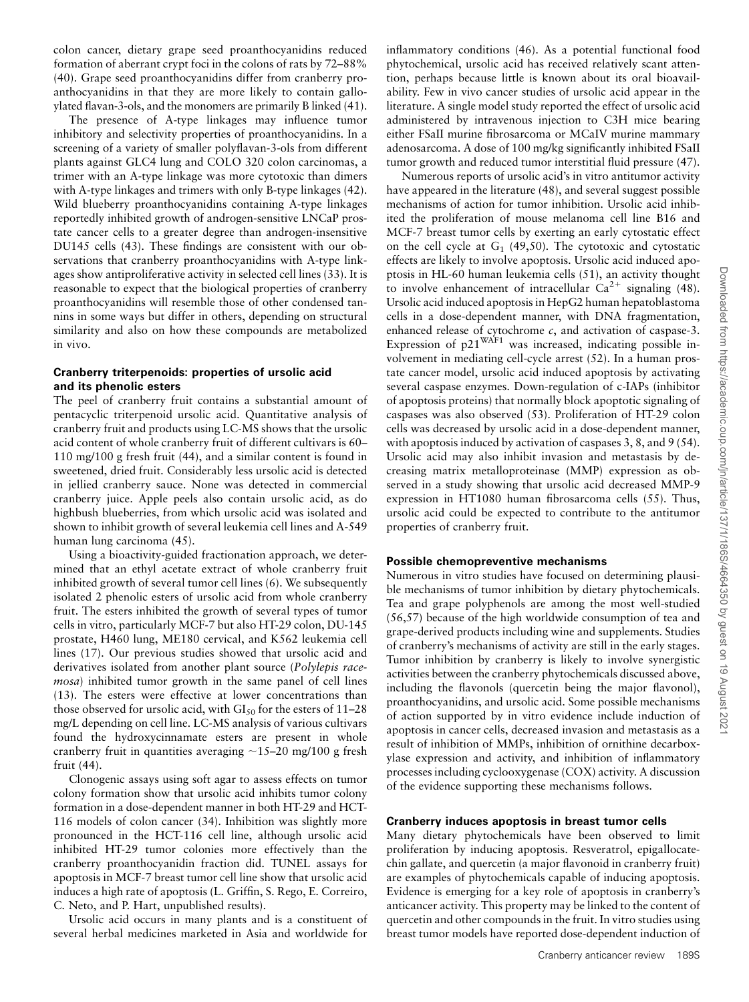colon cancer, dietary grape seed proanthocyanidins reduced formation of aberrant crypt foci in the colons of rats by 72–88% (40). Grape seed proanthocyanidins differ from cranberry proanthocyanidins in that they are more likely to contain galloylated flavan-3-ols, and the monomers are primarily B linked (41).

The presence of A-type linkages may influence tumor inhibitory and selectivity properties of proanthocyanidins. In a screening of a variety of smaller polyflavan-3-ols from different plants against GLC4 lung and COLO 320 colon carcinomas, a trimer with an A-type linkage was more cytotoxic than dimers with A-type linkages and trimers with only B-type linkages (42). Wild blueberry proanthocyanidins containing A-type linkages reportedly inhibited growth of androgen-sensitive LNCaP prostate cancer cells to a greater degree than androgen-insensitive DU145 cells (43). These findings are consistent with our observations that cranberry proanthocyanidins with A-type linkages show antiproliferative activity in selected cell lines (33). It is reasonable to expect that the biological properties of cranberry proanthocyanidins will resemble those of other condensed tannins in some ways but differ in others, depending on structural similarity and also on how these compounds are metabolized in vivo.

## Cranberry triterpenoids: properties of ursolic acid and its phenolic esters

The peel of cranberry fruit contains a substantial amount of pentacyclic triterpenoid ursolic acid. Quantitative analysis of cranberry fruit and products using LC-MS shows that the ursolic acid content of whole cranberry fruit of different cultivars is 60– 110 mg/100 g fresh fruit (44), and a similar content is found in sweetened, dried fruit. Considerably less ursolic acid is detected in jellied cranberry sauce. None was detected in commercial cranberry juice. Apple peels also contain ursolic acid, as do highbush blueberries, from which ursolic acid was isolated and shown to inhibit growth of several leukemia cell lines and A-549 human lung carcinoma (45).

Using a bioactivity-guided fractionation approach, we determined that an ethyl acetate extract of whole cranberry fruit inhibited growth of several tumor cell lines (6). We subsequently isolated 2 phenolic esters of ursolic acid from whole cranberry fruit. The esters inhibited the growth of several types of tumor cells in vitro, particularly MCF-7 but also HT-29 colon, DU-145 prostate, H460 lung, ME180 cervical, and K562 leukemia cell lines (17). Our previous studies showed that ursolic acid and derivatives isolated from another plant source (Polylepis racemosa) inhibited tumor growth in the same panel of cell lines (13). The esters were effective at lower concentrations than those observed for ursolic acid, with  $GI<sub>50</sub>$  for the esters of 11–28 mg/L depending on cell line. LC-MS analysis of various cultivars found the hydroxycinnamate esters are present in whole cranberry fruit in quantities averaging  $\sim$ 15–20 mg/100 g fresh fruit (44).

Clonogenic assays using soft agar to assess effects on tumor colony formation show that ursolic acid inhibits tumor colony formation in a dose-dependent manner in both HT-29 and HCT-116 models of colon cancer (34). Inhibition was slightly more pronounced in the HCT-116 cell line, although ursolic acid inhibited HT-29 tumor colonies more effectively than the cranberry proanthocyanidin fraction did. TUNEL assays for apoptosis in MCF-7 breast tumor cell line show that ursolic acid induces a high rate of apoptosis (L. Griffin, S. Rego, E. Correiro, C. Neto, and P. Hart, unpublished results).

Ursolic acid occurs in many plants and is a constituent of several herbal medicines marketed in Asia and worldwide for

inflammatory conditions (46). As a potential functional food phytochemical, ursolic acid has received relatively scant attention, perhaps because little is known about its oral bioavailability. Few in vivo cancer studies of ursolic acid appear in the literature. A single model study reported the effect of ursolic acid administered by intravenous injection to C3H mice bearing either FSaII murine fibrosarcoma or MCaIV murine mammary adenosarcoma. A dose of 100 mg/kg significantly inhibited FSaII tumor growth and reduced tumor interstitial fluid pressure (47).

Numerous reports of ursolic acid's in vitro antitumor activity have appeared in the literature (48), and several suggest possible mechanisms of action for tumor inhibition. Ursolic acid inhibited the proliferation of mouse melanoma cell line B16 and MCF-7 breast tumor cells by exerting an early cytostatic effect on the cell cycle at  $G_1$  (49,50). The cytotoxic and cytostatic effects are likely to involve apoptosis. Ursolic acid induced apoptosis in HL-60 human leukemia cells (51), an activity thought to involve enhancement of intracellular  $Ca^{2+}$  signaling (48). Ursolic acid induced apoptosis in HepG2 human hepatoblastoma cells in a dose-dependent manner, with DNA fragmentation, enhanced release of cytochrome c, and activation of caspase-3. Expression of  $p21^{WAF1}$  was increased, indicating possible involvement in mediating cell-cycle arrest (52). In a human prostate cancer model, ursolic acid induced apoptosis by activating several caspase enzymes. Down-regulation of c-IAPs (inhibitor of apoptosis proteins) that normally block apoptotic signaling of caspases was also observed (53). Proliferation of HT-29 colon cells was decreased by ursolic acid in a dose-dependent manner, with apoptosis induced by activation of caspases 3, 8, and 9 (54). Ursolic acid may also inhibit invasion and metastasis by decreasing matrix metalloproteinase (MMP) expression as observed in a study showing that ursolic acid decreased MMP-9 expression in HT1080 human fibrosarcoma cells (55). Thus, ursolic acid could be expected to contribute to the antitumor properties of cranberry fruit.

#### Possible chemopreventive mechanisms

Numerous in vitro studies have focused on determining plausible mechanisms of tumor inhibition by dietary phytochemicals. Tea and grape polyphenols are among the most well-studied (56,57) because of the high worldwide consumption of tea and grape-derived products including wine and supplements. Studies of cranberry's mechanisms of activity are still in the early stages. Tumor inhibition by cranberry is likely to involve synergistic activities between the cranberry phytochemicals discussed above, including the flavonols (quercetin being the major flavonol), proanthocyanidins, and ursolic acid. Some possible mechanisms of action supported by in vitro evidence include induction of apoptosis in cancer cells, decreased invasion and metastasis as a result of inhibition of MMPs, inhibition of ornithine decarboxylase expression and activity, and inhibition of inflammatory processes including cyclooxygenase (COX) activity. A discussion of the evidence supporting these mechanisms follows.

#### Cranberry induces apoptosis in breast tumor cells

Many dietary phytochemicals have been observed to limit proliferation by inducing apoptosis. Resveratrol, epigallocatechin gallate, and quercetin (a major flavonoid in cranberry fruit) are examples of phytochemicals capable of inducing apoptosis. Evidence is emerging for a key role of apoptosis in cranberry's anticancer activity. This property may be linked to the content of quercetin and other compounds in the fruit. In vitro studies using breast tumor models have reported dose-dependent induction of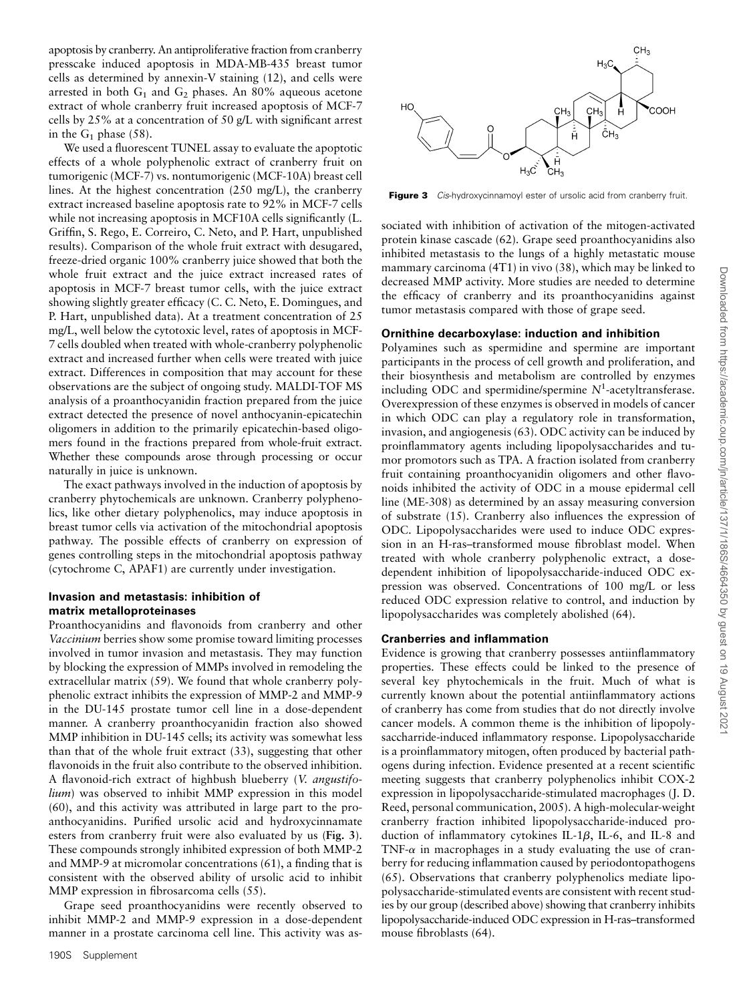apoptosis by cranberry. An antiproliferative fraction from cranberry presscake induced apoptosis in MDA-MB-435 breast tumor cells as determined by annexin-V staining (12), and cells were arrested in both  $G_1$  and  $G_2$  phases. An 80% aqueous acetone extract of whole cranberry fruit increased apoptosis of MCF-7 cells by 25% at a concentration of 50 g/L with significant arrest in the  $G_1$  phase (58).

We used a fluorescent TUNEL assay to evaluate the apoptotic effects of a whole polyphenolic extract of cranberry fruit on tumorigenic (MCF-7) vs. nontumorigenic (MCF-10A) breast cell lines. At the highest concentration (250 mg/L), the cranberry extract increased baseline apoptosis rate to 92% in MCF-7 cells while not increasing apoptosis in MCF10A cells significantly (L. Griffin, S. Rego, E. Correiro, C. Neto, and P. Hart, unpublished results). Comparison of the whole fruit extract with desugared, freeze-dried organic 100% cranberry juice showed that both the whole fruit extract and the juice extract increased rates of apoptosis in MCF-7 breast tumor cells, with the juice extract showing slightly greater efficacy (C. C. Neto, E. Domingues, and P. Hart, unpublished data). At a treatment concentration of 25 mg/L, well below the cytotoxic level, rates of apoptosis in MCF-7 cells doubled when treated with whole-cranberry polyphenolic extract and increased further when cells were treated with juice extract. Differences in composition that may account for these observations are the subject of ongoing study. MALDI-TOF MS analysis of a proanthocyanidin fraction prepared from the juice extract detected the presence of novel anthocyanin-epicatechin oligomers in addition to the primarily epicatechin-based oligomers found in the fractions prepared from whole-fruit extract. Whether these compounds arose through processing or occur naturally in juice is unknown.

The exact pathways involved in the induction of apoptosis by cranberry phytochemicals are unknown. Cranberry polyphenolics, like other dietary polyphenolics, may induce apoptosis in breast tumor cells via activation of the mitochondrial apoptosis pathway. The possible effects of cranberry on expression of genes controlling steps in the mitochondrial apoptosis pathway (cytochrome C, APAF1) are currently under investigation.

#### Invasion and metastasis: inhibition of matrix metalloproteinases

Proanthocyanidins and flavonoids from cranberry and other Vaccinium berries show some promise toward limiting processes involved in tumor invasion and metastasis. They may function by blocking the expression of MMPs involved in remodeling the extracellular matrix (59). We found that whole cranberry polyphenolic extract inhibits the expression of MMP-2 and MMP-9 in the DU-145 prostate tumor cell line in a dose-dependent manner. A cranberry proanthocyanidin fraction also showed MMP inhibition in DU-145 cells; its activity was somewhat less than that of the whole fruit extract (33), suggesting that other flavonoids in the fruit also contribute to the observed inhibition. A flavonoid-rich extract of highbush blueberry (V. angustifolium) was observed to inhibit MMP expression in this model (60), and this activity was attributed in large part to the proanthocyanidins. Purified ursolic acid and hydroxycinnamate esters from cranberry fruit were also evaluated by us (Fig. 3). These compounds strongly inhibited expression of both MMP-2 and MMP-9 at micromolar concentrations (61), a finding that is consistent with the observed ability of ursolic acid to inhibit MMP expression in fibrosarcoma cells (55).

Grape seed proanthocyanidins were recently observed to inhibit MMP-2 and MMP-9 expression in a dose-dependent manner in a prostate carcinoma cell line. This activity was as-



Figure 3 Cis-hydroxycinnamoyl ester of ursolic acid from cranberry fruit.

sociated with inhibition of activation of the mitogen-activated protein kinase cascade (62). Grape seed proanthocyanidins also inhibited metastasis to the lungs of a highly metastatic mouse mammary carcinoma (4T1) in vivo (38), which may be linked to decreased MMP activity. More studies are needed to determine the efficacy of cranberry and its proanthocyanidins against tumor metastasis compared with those of grape seed.

#### Ornithine decarboxylase: induction and inhibition

Polyamines such as spermidine and spermine are important participants in the process of cell growth and proliferation, and their biosynthesis and metabolism are controlled by enzymes including ODC and spermidine/spermine  $N^1$ -acetyltransferase. Overexpression of these enzymes is observed in models of cancer in which ODC can play a regulatory role in transformation, invasion, and angiogenesis (63). ODC activity can be induced by proinflammatory agents including lipopolysaccharides and tumor promotors such as TPA. A fraction isolated from cranberry fruit containing proanthocyanidin oligomers and other flavonoids inhibited the activity of ODC in a mouse epidermal cell line (ME-308) as determined by an assay measuring conversion of substrate (15). Cranberry also influences the expression of ODC. Lipopolysaccharides were used to induce ODC expression in an H-ras–transformed mouse fibroblast model. When treated with whole cranberry polyphenolic extract, a dosedependent inhibition of lipopolysaccharide-induced ODC expression was observed. Concentrations of 100 mg/L or less reduced ODC expression relative to control, and induction by lipopolysaccharides was completely abolished (64).

#### Cranberries and inflammation

Evidence is growing that cranberry possesses antiinflammatory properties. These effects could be linked to the presence of several key phytochemicals in the fruit. Much of what is currently known about the potential antiinflammatory actions of cranberry has come from studies that do not directly involve cancer models. A common theme is the inhibition of lipopolysaccharride-induced inflammatory response. Lipopolysaccharide is a proinflammatory mitogen, often produced by bacterial pathogens during infection. Evidence presented at a recent scientific meeting suggests that cranberry polyphenolics inhibit COX-2 expression in lipopolysaccharide-stimulated macrophages (J. D. Reed, personal communication, 2005). A high-molecular-weight cranberry fraction inhibited lipopolysaccharide-induced production of inflammatory cytokines IL-1 $\beta$ , IL-6, and IL-8 and TNF- $\alpha$  in macrophages in a study evaluating the use of cranberry for reducing inflammation caused by periodontopathogens (65). Observations that cranberry polyphenolics mediate lipopolysaccharide-stimulated events are consistent with recent studies by our group (described above) showing that cranberry inhibits lipopolysaccharide-induced ODC expression in H-ras–transformed mouse fibroblasts (64).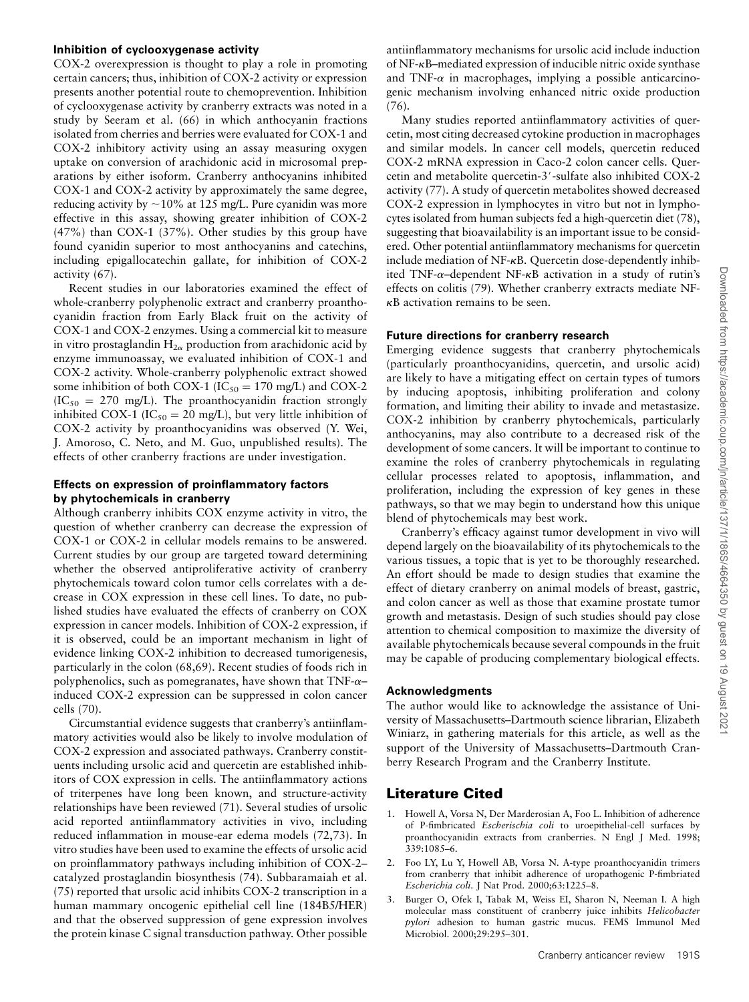### Inhibition of cyclooxygenase activity

COX-2 overexpression is thought to play a role in promoting certain cancers; thus, inhibition of COX-2 activity or expression presents another potential route to chemoprevention. Inhibition of cyclooxygenase activity by cranberry extracts was noted in a study by Seeram et al. (66) in which anthocyanin fractions isolated from cherries and berries were evaluated for COX-1 and COX-2 inhibitory activity using an assay measuring oxygen uptake on conversion of arachidonic acid in microsomal preparations by either isoform. Cranberry anthocyanins inhibited COX-1 and COX-2 activity by approximately the same degree, reducing activity by  $\sim$ 10% at 125 mg/L. Pure cyanidin was more effective in this assay, showing greater inhibition of COX-2 (47%) than COX-1 (37%). Other studies by this group have found cyanidin superior to most anthocyanins and catechins, including epigallocatechin gallate, for inhibition of COX-2 activity (67).

Recent studies in our laboratories examined the effect of whole-cranberry polyphenolic extract and cranberry proanthocyanidin fraction from Early Black fruit on the activity of COX-1 and COX-2 enzymes. Using a commercial kit to measure in vitro prostaglandin  $H_{2\alpha}$  production from arachidonic acid by enzyme immunoassay, we evaluated inhibition of COX-1 and COX-2 activity. Whole-cranberry polyphenolic extract showed some inhibition of both COX-1 ( $IC_{50} = 170$  mg/L) and COX-2  $(IC<sub>50</sub> = 270$  mg/L). The proanthocyanidin fraction strongly inhibited COX-1 ( $IC_{50} = 20$  mg/L), but very little inhibition of COX-2 activity by proanthocyanidins was observed (Y. Wei, J. Amoroso, C. Neto, and M. Guo, unpublished results). The effects of other cranberry fractions are under investigation.

## Effects on expression of proinflammatory factors by phytochemicals in cranberry

Although cranberry inhibits COX enzyme activity in vitro, the question of whether cranberry can decrease the expression of COX-1 or COX-2 in cellular models remains to be answered. Current studies by our group are targeted toward determining whether the observed antiproliferative activity of cranberry phytochemicals toward colon tumor cells correlates with a decrease in COX expression in these cell lines. To date, no published studies have evaluated the effects of cranberry on COX expression in cancer models. Inhibition of COX-2 expression, if it is observed, could be an important mechanism in light of evidence linking COX-2 inhibition to decreased tumorigenesis, particularly in the colon (68,69). Recent studies of foods rich in polyphenolics, such as pomegranates, have shown that  $TNF-\alpha$ induced COX-2 expression can be suppressed in colon cancer cells (70).

Circumstantial evidence suggests that cranberry's antiinflammatory activities would also be likely to involve modulation of COX-2 expression and associated pathways. Cranberry constituents including ursolic acid and quercetin are established inhibitors of COX expression in cells. The antiinflammatory actions of triterpenes have long been known, and structure-activity relationships have been reviewed (71). Several studies of ursolic acid reported antiinflammatory activities in vivo, including reduced inflammation in mouse-ear edema models (72,73). In vitro studies have been used to examine the effects of ursolic acid on proinflammatory pathways including inhibition of COX-2– catalyzed prostaglandin biosynthesis (74). Subbaramaiah et al. (75) reported that ursolic acid inhibits COX-2 transcription in a human mammary oncogenic epithelial cell line (184B5/HER) and that the observed suppression of gene expression involves the protein kinase C signal transduction pathway. Other possible antiinflammatory mechanisms for ursolic acid include induction of NF-kB–mediated expression of inducible nitric oxide synthase and TNF- $\alpha$  in macrophages, implying a possible anticarcinogenic mechanism involving enhanced nitric oxide production (76).

Many studies reported antiinflammatory activities of quercetin, most citing decreased cytokine production in macrophages and similar models. In cancer cell models, quercetin reduced COX-2 mRNA expression in Caco-2 colon cancer cells. Quercetin and metabolite quercetin-3'-sulfate also inhibited COX-2 activity (77). A study of quercetin metabolites showed decreased COX-2 expression in lymphocytes in vitro but not in lymphocytes isolated from human subjects fed a high-quercetin diet (78), suggesting that bioavailability is an important issue to be considered. Other potential antiinflammatory mechanisms for quercetin include mediation of  $NF- $\kappa$ B$ . Quercetin dose-dependently inhibited TNF- $\alpha$ –dependent NF- $\kappa$ B activation in a study of rutin's effects on colitis (79). Whether cranberry extracts mediate NF- $\kappa$ B activation remains to be seen.

## Future directions for cranberry research

Emerging evidence suggests that cranberry phytochemicals (particularly proanthocyanidins, quercetin, and ursolic acid) are likely to have a mitigating effect on certain types of tumors by inducing apoptosis, inhibiting proliferation and colony formation, and limiting their ability to invade and metastasize. COX-2 inhibition by cranberry phytochemicals, particularly anthocyanins, may also contribute to a decreased risk of the development of some cancers. It will be important to continue to examine the roles of cranberry phytochemicals in regulating cellular processes related to apoptosis, inflammation, and proliferation, including the expression of key genes in these pathways, so that we may begin to understand how this unique blend of phytochemicals may best work.

Cranberry's efficacy against tumor development in vivo will depend largely on the bioavailability of its phytochemicals to the various tissues, a topic that is yet to be thoroughly researched. An effort should be made to design studies that examine the effect of dietary cranberry on animal models of breast, gastric, and colon cancer as well as those that examine prostate tumor growth and metastasis. Design of such studies should pay close attention to chemical composition to maximize the diversity of available phytochemicals because several compounds in the fruit may be capable of producing complementary biological effects.

## Acknowledgments

The author would like to acknowledge the assistance of University of Massachusetts–Dartmouth science librarian, Elizabeth Winiarz, in gathering materials for this article, as well as the support of the University of Massachusetts–Dartmouth Cranberry Research Program and the Cranberry Institute.

## Literature Cited

- 1. Howell A, Vorsa N, Der Marderosian A, Foo L. Inhibition of adherence of P-fimbricated Escherischia coli to uroepithelial-cell surfaces by proanthocyanidin extracts from cranberries. N Engl J Med. 1998; 339:1085–6.
- 2. Foo LY, Lu Y, Howell AB, Vorsa N. A-type proanthocyanidin trimers from cranberry that inhibit adherence of uropathogenic P-fimbriated Escherichia coli. J Nat Prod. 2000;63:1225–8.
- 3. Burger O, Ofek I, Tabak M, Weiss EI, Sharon N, Neeman I. A high molecular mass constituent of cranberry juice inhibits Helicobacter pylori adhesion to human gastric mucus. FEMS Immunol Med Microbiol. 2000;29:295–301.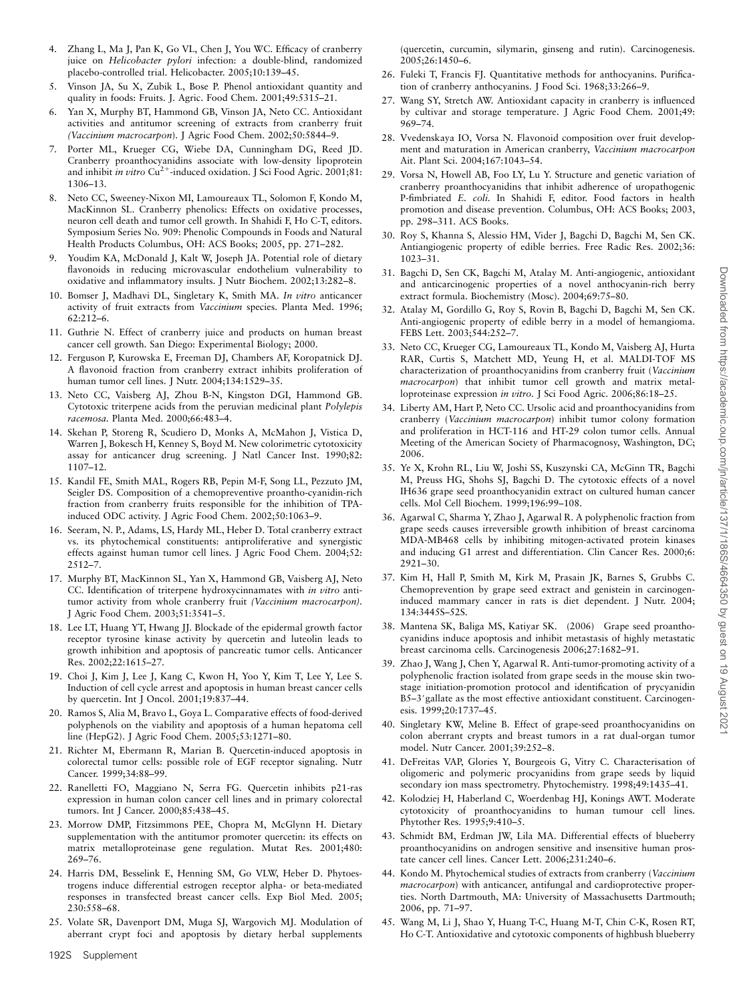- 4. Zhang L, Ma J, Pan K, Go VL, Chen J, You WC. Efficacy of cranberry juice on Helicobacter pylori infection: a double-blind, randomized placebo-controlled trial. Helicobacter. 2005;10:139–45.
- 5. Vinson JA, Su X, Zubik L, Bose P. Phenol antioxidant quantity and quality in foods: Fruits. J. Agric. Food Chem. 2001;49:5315–21.
- 6. Yan X, Murphy BT, Hammond GB, Vinson JA, Neto CC. Antioxidant activities and antitumor screening of extracts from cranberry fruit (Vaccinium macrocarpon). J Agric Food Chem. 2002;50:5844–9.
- 7. Porter ML, Krueger CG, Wiebe DA, Cunningham DG, Reed JD. Cranberry proanthocyanidins associate with low-density lipoprotein and inhibit in vitro Cu<sup>2+</sup>-induced oxidation. J Sci Food Agric. 2001;81: 1306–13.
- 8. Neto CC, Sweeney-Nixon MI, Lamoureaux TL, Solomon F, Kondo M, MacKinnon SL. Cranberry phenolics: Effects on oxidative processes, neuron cell death and tumor cell growth. In Shahidi F, Ho C-T, editors. Symposium Series No. 909: Phenolic Compounds in Foods and Natural Health Products Columbus, OH: ACS Books; 2005, pp. 271–282.
- 9. Youdim KA, McDonald J, Kalt W, Joseph JA. Potential role of dietary flavonoids in reducing microvascular endothelium vulnerability to oxidative and inflammatory insults. J Nutr Biochem. 2002;13:282–8.
- 10. Bomser J, Madhavi DL, Singletary K, Smith MA. In vitro anticancer activity of fruit extracts from Vaccinium species. Planta Med. 1996;  $62:212-6$ .
- 11. Guthrie N. Effect of cranberry juice and products on human breast cancer cell growth. San Diego: Experimental Biology; 2000.
- 12. Ferguson P, Kurowska E, Freeman DJ, Chambers AF, Koropatnick DJ. A flavonoid fraction from cranberry extract inhibits proliferation of human tumor cell lines. J Nutr. 2004;134:1529–35.
- 13. Neto CC, Vaisberg AJ, Zhou B-N, Kingston DGI, Hammond GB. Cytotoxic triterpene acids from the peruvian medicinal plant Polylepis racemosa. Planta Med. 2000;66:483–4.
- 14. Skehan P, Storeng R, Scudiero D, Monks A, McMahon J, Vistica D, Warren J, Bokesch H, Kenney S, Boyd M. New colorimetric cytotoxicity assay for anticancer drug screening. J Natl Cancer Inst. 1990;82: 1107–12.
- 15. Kandil FE, Smith MAL, Rogers RB, Pepin M-F, Song LL, Pezzuto JM, Seigler DS. Composition of a chemopreventive proantho-cyanidin-rich fraction from cranberry fruits responsible for the inhibition of TPAinduced ODC activity. J Agric Food Chem. 2002;50:1063–9.
- 16. Seeram, N. P., Adams, LS, Hardy ML, Heber D. Total cranberry extract vs. its phytochemical constituents: antiproliferative and synergistic effects against human tumor cell lines. J Agric Food Chem. 2004;52: 2512–7.
- 17. Murphy BT, MacKinnon SL, Yan X, Hammond GB, Vaisberg AJ, Neto CC. Identification of triterpene hydroxycinnamates with in vitro antitumor activity from whole cranberry fruit (Vaccinium macrocarpon). J Agric Food Chem. 2003;51:3541–5.
- 18. Lee LT, Huang YT, Hwang JJ. Blockade of the epidermal growth factor receptor tyrosine kinase activity by quercetin and luteolin leads to growth inhibition and apoptosis of pancreatic tumor cells. Anticancer Res. 2002;22:1615–27.
- 19. Choi J, Kim J, Lee J, Kang C, Kwon H, Yoo Y, Kim T, Lee Y, Lee S. Induction of cell cycle arrest and apoptosis in human breast cancer cells by quercetin. Int J Oncol. 2001;19:837–44.
- 20. Ramos S, Alia M, Bravo L, Goya L. Comparative effects of food-derived polyphenols on the viability and apoptosis of a human hepatoma cell line (HepG2). J Agric Food Chem. 2005;53:1271–80.
- 21. Richter M, Ebermann R, Marian B. Quercetin-induced apoptosis in colorectal tumor cells: possible role of EGF receptor signaling. Nutr Cancer. 1999;34:88–99.
- 22. Ranelletti FO, Maggiano N, Serra FG. Quercetin inhibits p21-ras expression in human colon cancer cell lines and in primary colorectal tumors. Int J Cancer. 2000;85:438–45.
- 23. Morrow DMP, Fitzsimmons PEE, Chopra M, McGlynn H. Dietary supplementation with the antitumor promoter quercetin: its effects on matrix metalloproteinase gene regulation. Mutat Res. 2001;480: 269–76.
- 24. Harris DM, Besselink E, Henning SM, Go VLW, Heber D. Phytoestrogens induce differential estrogen receptor alpha- or beta-mediated responses in transfected breast cancer cells. Exp Biol Med. 2005; 230:558–68.
- 25. Volate SR, Davenport DM, Muga SJ, Wargovich MJ. Modulation of aberrant crypt foci and apoptosis by dietary herbal supplements

(quercetin, curcumin, silymarin, ginseng and rutin). Carcinogenesis. 2005;26:1450–6.

- 26. Fuleki T, Francis FJ. Quantitative methods for anthocyanins. Purification of cranberry anthocyanins. J Food Sci. 1968;33:266–9.
- 27. Wang SY, Stretch AW. Antioxidant capacity in cranberry is influenced by cultivar and storage temperature. J Agric Food Chem. 2001;49: 969–74.
- 28. Vvedenskaya IO, Vorsa N. Flavonoid composition over fruit development and maturation in American cranberry, Vaccinium macrocarpon Ait. Plant Sci. 2004;167:1043–54.
- 29. Vorsa N, Howell AB, Foo LY, Lu Y. Structure and genetic variation of cranberry proanthocyanidins that inhibit adherence of uropathogenic P-fimbriated E. coli. In Shahidi F, editor. Food factors in health promotion and disease prevention. Columbus, OH: ACS Books; 2003, pp. 298–311. ACS Books.
- 30. Roy S, Khanna S, Alessio HM, Vider J, Bagchi D, Bagchi M, Sen CK. Antiangiogenic property of edible berries. Free Radic Res. 2002;36: 1023–31.
- 31. Bagchi D, Sen CK, Bagchi M, Atalay M. Anti-angiogenic, antioxidant and anticarcinogenic properties of a novel anthocyanin-rich berry extract formula. Biochemistry (Mosc). 2004;69:75–80.
- 32. Atalay M, Gordillo G, Roy S, Rovin B, Bagchi D, Bagchi M, Sen CK. Anti-angiogenic property of edible berry in a model of hemangioma. FEBS Lett. 2003;544:252–7.
- 33. Neto CC, Krueger CG, Lamoureaux TL, Kondo M, Vaisberg AJ, Hurta RAR, Curtis S, Matchett MD, Yeung H, et al. MALDI-TOF MS characterization of proanthocyanidins from cranberry fruit (Vaccinium macrocarpon) that inhibit tumor cell growth and matrix metalloproteinase expression in vitro. J Sci Food Agric. 2006;86:18–25.
- 34. Liberty AM, Hart P, Neto CC. Ursolic acid and proanthocyanidins from cranberry (Vaccinium macrocarpon) inhibit tumor colony formation and proliferation in HCT-116 and HT-29 colon tumor cells. Annual Meeting of the American Society of Pharmacognosy, Washington, DC; 2006.
- 35. Ye X, Krohn RL, Liu W, Joshi SS, Kuszynski CA, McGinn TR, Bagchi M, Preuss HG, Shohs SJ, Bagchi D. The cytotoxic effects of a novel IH636 grape seed proanthocyanidin extract on cultured human cancer cells. Mol Cell Biochem. 1999;196:99–108.
- 36. Agarwal C, Sharma Y, Zhao J, Agarwal R. A polyphenolic fraction from grape seeds causes irreversible growth inhibition of breast carcinoma MDA-MB468 cells by inhibiting mitogen-activated protein kinases and inducing G1 arrest and differentiation. Clin Cancer Res. 2000;6: 2921–30.
- 37. Kim H, Hall P, Smith M, Kirk M, Prasain JK, Barnes S, Grubbs C. Chemoprevention by grape seed extract and genistein in carcinogeninduced mammary cancer in rats is diet dependent. J Nutr. 2004; 134:3445S–52S.
- 38. Mantena SK, Baliga MS, Katiyar SK. (2006) Grape seed proanthocyanidins induce apoptosis and inhibit metastasis of highly metastatic breast carcinoma cells. Carcinogenesis 2006;27:1682–91.
- 39. Zhao J, Wang J, Chen Y, Agarwal R. Anti-tumor-promoting activity of a polyphenolic fraction isolated from grape seeds in the mouse skin twostage initiation-promotion protocol and identification of prycyanidin B5-3'gallate as the most effective antioxidant constituent. Carcinogenesis. 1999;20:1737–45.
- 40. Singletary KW, Meline B. Effect of grape-seed proanthocyanidins on colon aberrant crypts and breast tumors in a rat dual-organ tumor model. Nutr Cancer. 2001;39:252–8.
- 41. DeFreitas VAP, Glories Y, Bourgeois G, Vitry C. Characterisation of oligomeric and polymeric procyanidins from grape seeds by liquid secondary ion mass spectrometry. Phytochemistry. 1998;49:1435–41.
- 42. Kolodziej H, Haberland C, Woerdenbag HJ, Konings AWT. Moderate cytotoxicity of proanthocyanidins to human tumour cell lines. Phytother Res. 1995;9:410–5.
- 43. Schmidt BM, Erdman JW, Lila MA. Differential effects of blueberry proanthocyanidins on androgen sensitive and insensitive human prostate cancer cell lines. Cancer Lett. 2006;231:240–6.
- 44. Kondo M. Phytochemical studies of extracts from cranberry (Vaccinium macrocarpon) with anticancer, antifungal and cardioprotective properties. North Dartmouth, MA: University of Massachusetts Dartmouth; 2006, pp. 71–97.
- 45. Wang M, Li J, Shao Y, Huang T-C, Huang M-T, Chin C-K, Rosen RT, Ho C-T. Antioxidative and cytotoxic components of highbush blueberry